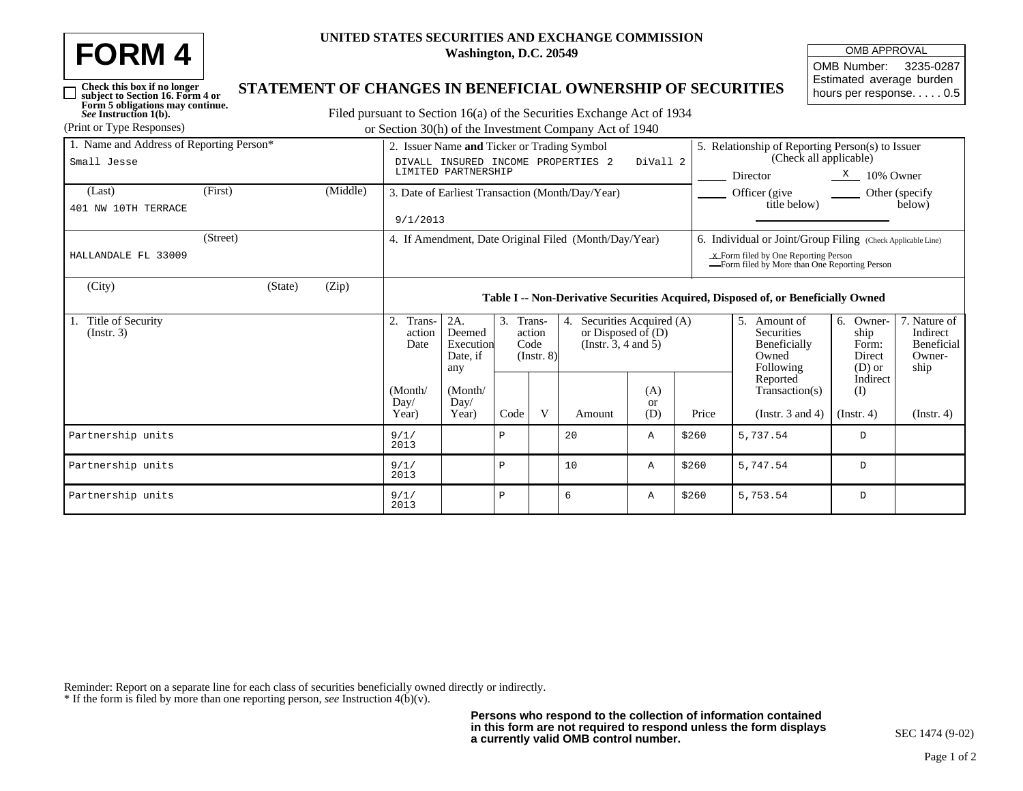| <b>FORM4</b> | UNITED STATE |
|--------------|--------------|
|              |              |

*See* **Instruction 1(b).**

 $\Box$ 

## **UNITED STATES SECURITIES AND EXCHANGE COMMISSION Washington, D.C. 20549**

| <b>OMB APPROVAL</b>      |  |  |  |  |  |  |
|--------------------------|--|--|--|--|--|--|
| OMB Number: 3235-0287    |  |  |  |  |  |  |
| Estimated average burden |  |  |  |  |  |  |
| hours per response. 0.5  |  |  |  |  |  |  |

## **Check this box if no longer subject to Section 16. Form 4 or Form 5 obligations may continue. STATEMENT OF CHANGES IN BENEFICIAL OWNERSHIP OF SECURITIES**

Filed pursuant to Section 16(a) of the Securities Exchange Act of 1934 (Print or Type Responses) or Section 30(h) of the Investment Company Act of 1940

| 1. Name and Address of Reporting Person*<br>Small Jesse | 2. Issuer Name and Ticker or Trading Symbol<br>DIVALL INSURED INCOME PROPERTIES 2<br>DiVall 2<br>LIMITED PARTNERSHIP |          |                                                                                   |                                               |                                                |   |                                                                         | 5. Relationship of Reporting Person(s) to Issuer<br>(Check all applicable)              |       |                                                                      |                                                     |                                                          |  |  |
|---------------------------------------------------------|----------------------------------------------------------------------------------------------------------------------|----------|-----------------------------------------------------------------------------------|-----------------------------------------------|------------------------------------------------|---|-------------------------------------------------------------------------|-----------------------------------------------------------------------------------------|-------|----------------------------------------------------------------------|-----------------------------------------------------|----------------------------------------------------------|--|--|
|                                                         |                                                                                                                      |          |                                                                                   |                                               |                                                |   |                                                                         | Director<br>$\frac{\text{X}}{\text{A}}$ 10% Owner                                       |       |                                                                      |                                                     |                                                          |  |  |
| (Last)                                                  | (First)                                                                                                              | (Middle) | 3. Date of Earliest Transaction (Month/Day/Year)                                  |                                               |                                                |   |                                                                         |                                                                                         |       | Officer (give<br>Other (specify)<br>title below)<br>below)           |                                                     |                                                          |  |  |
| 401 NW 10TH TERRACE                                     | 9/1/2013                                                                                                             |          |                                                                                   |                                               |                                                |   |                                                                         |                                                                                         |       |                                                                      |                                                     |                                                          |  |  |
|                                                         | (Street)                                                                                                             |          | 4. If Amendment, Date Original Filed (Month/Day/Year)                             |                                               |                                                |   |                                                                         |                                                                                         |       | 6. Individual or Joint/Group Filing (Check Applicable Line)          |                                                     |                                                          |  |  |
| HALLANDALE FL 33009                                     |                                                                                                                      |          |                                                                                   |                                               |                                                |   |                                                                         | $x$ Form filed by One Reporting Person<br>-Form filed by More than One Reporting Person |       |                                                                      |                                                     |                                                          |  |  |
| (City)                                                  | (State)                                                                                                              | (Zip)    | Table I -- Non-Derivative Securities Acquired, Disposed of, or Beneficially Owned |                                               |                                                |   |                                                                         |                                                                                         |       |                                                                      |                                                     |                                                          |  |  |
| 1. Title of Security<br>(Insert. 3)                     |                                                                                                                      |          | 2.<br>Trans-<br>action<br>Date<br>(Month/<br>Day/<br>Year)                        | 2A.<br>Deemed<br>Execution<br>Date, if<br>any | 3. Trans-<br>action<br>Code<br>$($ Instr. $8)$ |   | Securities Acquired (A)<br>or Disposed of $(D)$<br>(Insert. 3, 4 and 5) |                                                                                         |       | .5.<br>Amount of<br>Securities<br>Beneficially<br>Owned<br>Following | Owner-<br>6.<br>ship<br>Form:<br>Direct<br>$(D)$ or | 7. Nature of<br>Indirect<br>Beneficial<br>Owner-<br>ship |  |  |
|                                                         |                                                                                                                      |          |                                                                                   | (Month/<br>Day/<br>Year)                      | Code                                           | V | Amount                                                                  | (A)<br><b>or</b><br>(D)                                                                 | Price | Reported<br>Transaction(s)<br>(Instr. $3$ and $4$ )                  | Indirect<br>(I)<br>$($ Instr. 4 $)$                 | (Insert 4)                                               |  |  |
| Partnership units                                       |                                                                                                                      |          | 9/1/<br>2013                                                                      |                                               | Ρ                                              |   | 20                                                                      | Α                                                                                       | \$260 | 5,737.54                                                             | D                                                   |                                                          |  |  |
| Partnership units                                       |                                                                                                                      |          | 9/1/<br>2013                                                                      |                                               | Ρ                                              |   | 10                                                                      | Α                                                                                       | \$260 | 5,747.54                                                             | D                                                   |                                                          |  |  |
| Partnership units                                       |                                                                                                                      |          | 9/1/<br>2013                                                                      |                                               | Ρ                                              |   | 6                                                                       | Α                                                                                       | \$260 | 5,753.54                                                             | D                                                   |                                                          |  |  |

Reminder: Report on a separate line for each class of securities beneficially owned directly or indirectly. \* If the form is filed by more than one reporting person, *see* Instruction 4(b)(v).

**Persons who respond to the collection of information contained in this form are not required to respond unless the form displays a currently valid OMB control number.**

SEC 1474 (9-02)